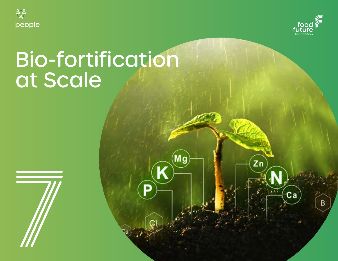



 $\overline{z}$ n

 $ca$ 

B

# Bio-fortification at Scale

Мg

D

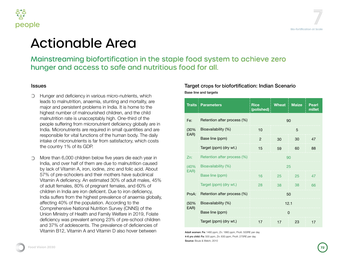



# le Area

iofortification in the staple food system to achieve zero es to safe and nutritious food for all.

various micro-nutrients, which lemia, stunting and mortality, are plems in India. It is home to the urished children, and the child eptably high. One-third of the ronutrient deficiency globally are in equired in small quantities and are ons of the human body. The daily  $s$  far from satisfactory, which costs the country 1% of its GDP.

> below five years die each year in Im are due to malnutrition caused iodine, zinc and folic acid. About **h** their mothers have subclinical estimated 30% of adult males, 45% pregnant females, and 60% of leficient. Due to iron deficiency, hest prevalence of anaemia globally, ulation. According to the Nutrition Survey (CNNS) of the and Family Welfare in 2019, Folate among 23% of pre-school children The prevalence of deficiencies of nd Vitamin D also hover between And Adult women: Fe: 1460 ppm, Zn: 1860 ppm, ProA: 500RE per day

#### Target crops for biofortification: Indian Scenario Base line and targets

|              | Traits   Parameters         | <b>Rice</b><br>(polished) | <b>Wheat</b> | <b>Maize</b> | <b>Pearl</b><br>millet |
|--------------|-----------------------------|---------------------------|--------------|--------------|------------------------|
| Fe:          | Retention after process (%) | 90                        |              |              |                        |
| (30%<br>EAR) | Bioavailability (%)         | 10<br>5                   |              |              |                        |
|              | Base line (ppm)             | $\mathcal{P}$             | 30           | 30           | 47                     |
|              | Target (ppm) (dry wt.)      | 15                        | 59           | 60           | 88                     |
| Zn:          | Retention after process (%) | 90                        |              |              |                        |
| (40%<br>EAR) | Bioavailability (%)         | 25                        |              |              |                        |
|              | Base line (ppm)             | 16                        | 25           | 25           | 47                     |
|              | Target (ppm) (dry wt.)      | 28                        | 38           | 38           | 66                     |
| ProA:        | Retention after process (%) | 50                        |              |              |                        |
| (50%<br>EAR) | Bioavailability (%)         | 12.1                      |              |              |                        |
|              | Base line (ppm)             | $\Omega$                  |              |              |                        |
|              | Target (ppm) (dry wt.)      | 17                        | 17           | 23           | 17                     |

4-6 yrs child: Fe: 500 ppm, Zn: 830 ppm, ProA: 275RE per day Source: Bouis & Welch, 2010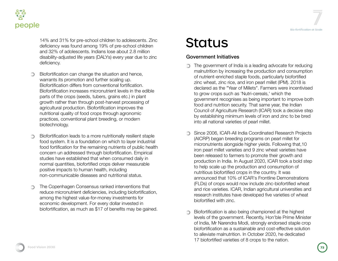



14% and 31% for pre-school children to adolescents. Zinc deficiency was found among 19% of pre-school children and 32% of adolescents. Indians lose about 2.8 million disability-adjusted life years (DALYs) every year due to zinc deficiency.

- Biofortification can change the situation and hence, warrants its promotion and further scaling up. Biofortification differs from conventional fortification. Biofortification increases micronutrient levels in the edible parts of the crops (seeds, tubers, grains etc.) in plant growth rather than through post-harvest processing of agricultural production. Biofortification improves the nutritional quality of food crops through agronomic practices, conventional plant breeding, or modern biotechnology.
- Biofortification leads to a more nutritionally resilient staple food system. It is a foundation on which to layer industrial food fortification for the remaining nutrients of public health concern un addressed through biofortification. Empirical studies have established that when consumed daily in normal quantities, biofortified crops deliver measurable positive impacts to human health, including non-communicable diseases and nutritional status.
- The Copenhagen Consensus ranked interventions that ∩ reduce micronutrient deficiencies, including biofortification, among the highest value-for-money investments for economic development. For every dollar invested in biofortification, as much as \$17 of benefits may be gained.

## **Status**

#### Government Initiatives

- The government of India is a leading advocate for reducing malnutrition by increasing the production and consumption of nutrient-enriched staple foods, particularly biofortified zinc wheat, zinc rice, and iron pearl millet (IPM). 2018 is declared as the "Year of Millets". Farmers were incentivised to grow crops such as 'Nutri-cereals,' which the government recognises as being important to improve both food and nutrition security. That same year, the Indian Council of Agriculture Research (ICAR) took a decisive step by establishing minimum levels of iron and zinc to be bred into all national varieties of pearl millet.
- Since 2006, ICAR-All India Coordinated Research Projects (AICRP) began breeding programs on pearl millet for micronutrients alongside higher yields. Following that,10 iron pearl millet varieties and 9 zinc wheat varieties have been released to farmers to promote their growth and production in India. In August 2020, ICAR took a bold step to help scale up the production and consumption of nutritious biofortified crops in the country. It was announced that 10% of ICAR's Frontline Demonstrations (FLDs) of crops would now include zinc-biofortified wheat and rice varieties. ICAR, Indian agricultural universities and research institutes have developed five varieties of wheat biofortified with zinc.
- Biofortification is also being championed at the highest levels of the government. Recently, Hon'ble Prime Minister of India, Mr Narendra Modi, strongly endorsed staple crop biofortification as a sustainable and cost-effective solution to alleviate malnutrition. In October 2020, he dedicated 17 biofortified varieties of 8 crops to the nation.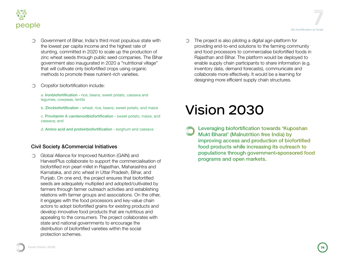

- Government of Bihar, India's third most populous state with the lowest per capita income and the highest rate of stunting, committed in 2020 to scale up the production of zinc wheat seeds through public seed companies. The Bihar government also inaugurated in 2020 a "nutritional village" that will cultivate only biofortified crops using organic methods to promote these nutrient-rich varieties.
- Cropsfor biofortification include:

a. Ironbiofortification - rice, beans, sweet potato, cassava and legumes, cowpeas, lentils

b. Zincbiofortification - wheat, rice, beans, sweet potato, and maize

c. Provitamin A carotenoidbiofortification - sweet potato, maize, and cassava; and

d. Amino acid and proteinbiofortification - sorghum and cassava

#### Civil Society &Commercial Initiatives

Global Alliance for Improved Nutrition (GAIN) and  $\bigcirc$ HarvestPlus collaborate to support the commercialisation of biofortified iron pearl millet in Rajasthan, Maharashtra and Karnataka, and zinc wheat in Uttar Pradesh, Bihar, and Punjab. On one end, the project ensures that biofortified seeds are adequately multiplied and adopted/cultivated by farmers through farmer outreach activities and establishing relations with farmer groups and associations. On the other, it engages with the food processors and key-value chain actors to adopt biofortified grains for existing products and develop innovative food products that are nutritious and appealing to the consumers. The project collaborates with state and national governments to encourage the distribution of biofortified varieties within the social protection schemes.

The project is also piloting a digital agri-platform for ∩ providing end-to-end solutions to the farming community and food processors to commercialise biofortified foods in Rajasthan and Bihar. The platform would be deployed to enable supply chain participants to share information (e.g. inventory data, demand forecasts), communicate and collaborate more effectively. It would be a learning for designing more efficient supply chain structures.

# Vision 2030

Leveraging biofortification towards 'Kuposhan Mukt Bharat' (Malnutrition free India) by improving access and production of biofortified food products while increasing its outreach to populations through government-sponsored food programs and open markets.

**Food Vision 2030 Food Vision 2030 743**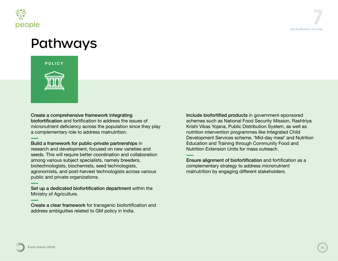

# Pathways



Create a comprehensive framework integrating biofortification and fortification to address the issues of micronutrient deficiency across the population since they play a complementary role to address malnutrition.

Build a framework for public-private partnerships in research and development, focused on new varieties and seeds. This will require better coordination and collaboration among various subject specialists, namely breeders, biotechnologists, biochemists, seed technologists, agronomists, and post-harvest technologists across various public and private organizations.

Set up a dedicated biofortification department within the Ministry of Agriculture.

Create a clear framework for transgenic biofortification and address ambiguities related to GM policy in India.

Include biofortified products in government-sponsored schemes such as National Food Security Mission, Rashtriya Krishi Vikas Yojana, Public Distribution System, as well as nutrition intervention programmes like Integrated Child Development Services scheme, 'Mid-day meal' and Nutrition Education and Training through Community Food and Nutrition Extension Units for mass outreach.

Ensure alignment of biofortification and fortification as a complementary strategy to address micronutrient malnutrition by engaging different stakeholders.

**Food Vision 2030 75 Food Vision 20304**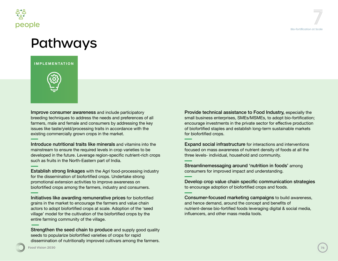

### Pathways

**IMPLEMENTATION**



Improve consumer awareness and include participatory breeding techniques to address the needs and preferences of all farmers, male and female and consumers by addressing the key issues like taste/yield/processing traits in accordance with the existing commercially grown crops in the market.

Introduce nutritional traits like minerals and vitamins into the mainstream to ensure the required levels in crop varieties to be developed in the future. Leverage region-specific nutrient-rich crops such as fruits in the North-Eastern part of India.

Establish strong linkages with the Agri food-processing industry for the dissemination of biofortified crops. Undertake strong promotional extension activities to improve awareness on biofortified crops among the farmers, industry and consumers.

Initiatives like awarding remunerative prices for biofortified grains in the market to encourage the farmers and value chain actors to adopt biofortified crops at scale. Adoption of the 'seed village' model for the cultivation of the biofortified crops by the entire farming community of the village.

Strengthen the seed chain to produce and supply good quality seeds to popularize biofortified varieties of crops for rapid dissemination of nutritionally improved cultivars among the farmers. Provide technical assistance to Food Industry, especially the small business enterprises, SMEs/MSMEs, to adopt bio-fortification; encourage investments in the private sector for effective production of biofortified staples and establish long-term sustainable markets for biofortified crops.

Expand social infrastructure for interactions and interventions focused on mass awareness of nutrient density of foods at all the three levels- individual, household and community.

Streamlinemessaging around 'nutrition in foods' among consumers for improved impact and understanding.

Develop crop value chain specific communication strategies to encourage adoption of biofortified crops and foods.

Consumer-focused marketing campaigns to build awareness, and hence demand, around the concept and benefits of nutrient-dense bio-fortified foods leveraging digital & social media, influencers, and other mass media tools.